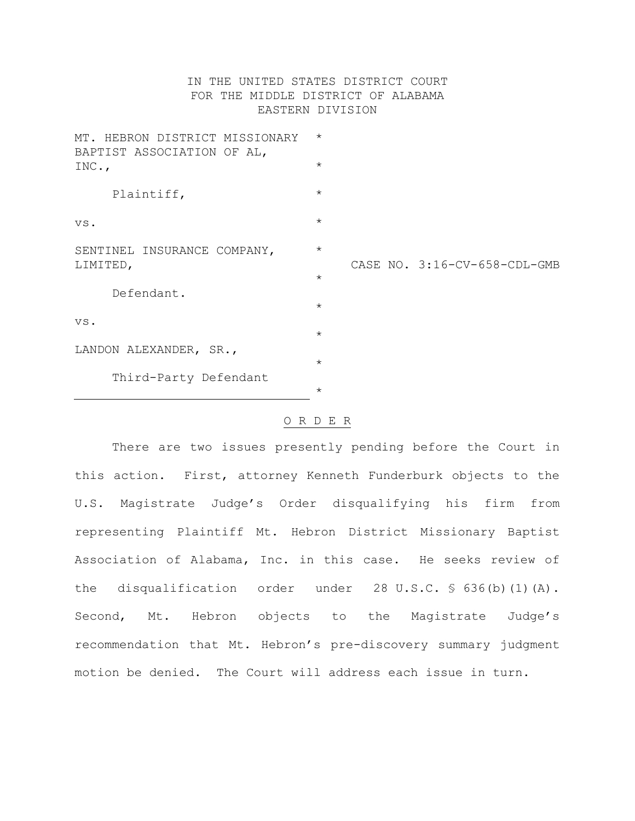## IN THE UNITED STATES DISTRICT COURT FOR THE MIDDLE DISTRICT OF ALABAMA EASTERN DIVISION

| MT. HEBRON DISTRICT MISSIONARY<br>BAPTIST ASSOCIATION OF AL,<br>INC., | $\star$ |  |                              |
|-----------------------------------------------------------------------|---------|--|------------------------------|
|                                                                       | $\star$ |  |                              |
| Plaintiff,                                                            | $\star$ |  |                              |
| VS.                                                                   | $\star$ |  |                              |
| SENTINEL INSURANCE COMPANY,<br>LIMITED,                               | $\star$ |  |                              |
|                                                                       | $\star$ |  | CASE NO. 3:16-CV-658-CDL-GMB |
| Defendant.                                                            |         |  |                              |
|                                                                       | $\star$ |  |                              |
| VS.                                                                   | $\star$ |  |                              |
| LANDON ALEXANDER, SR.,                                                |         |  |                              |
|                                                                       | $\star$ |  |                              |
| Third-Party Defendant                                                 |         |  |                              |
|                                                                       | $\star$ |  |                              |

## O R D E R

There are two issues presently pending before the Court in this action. First, attorney Kenneth Funderburk objects to the U.S. Magistrate Judge's Order disqualifying his firm from representing Plaintiff Mt. Hebron District Missionary Baptist Association of Alabama, Inc. in this case. He seeks review of the disqualification order under 28 U.S.C. § 636(b)(1)(A). Second, Mt. Hebron objects to the Magistrate Judge's recommendation that Mt. Hebron's pre-discovery summary judgment motion be denied. The Court will address each issue in turn.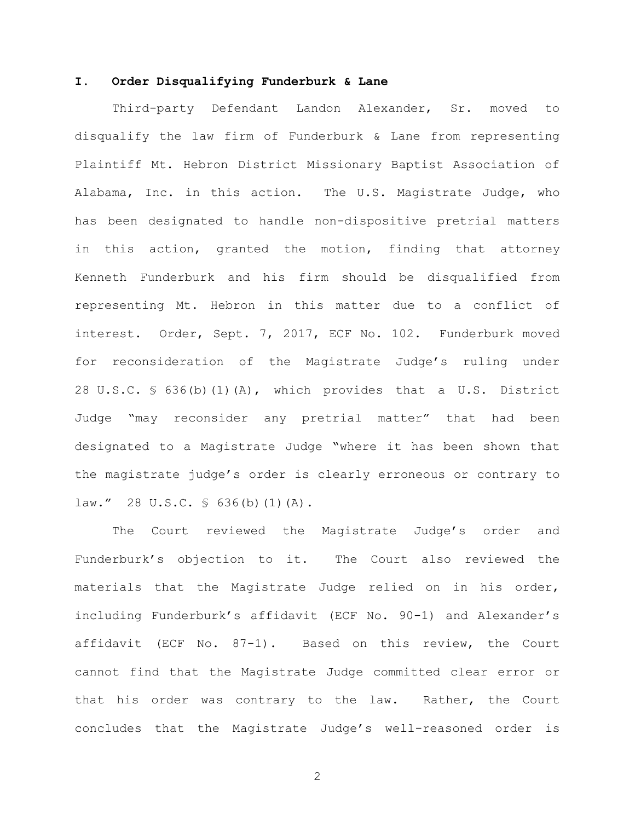## **I. Order Disqualifying Funderburk & Lane**

Third-party Defendant Landon Alexander, Sr. moved to disqualify the law firm of Funderburk & Lane from representing Plaintiff Mt. Hebron District Missionary Baptist Association of Alabama, Inc. in this action. The U.S. Magistrate Judge, who has been designated to handle non-dispositive pretrial matters in this action, granted the motion, finding that attorney Kenneth Funderburk and his firm should be disqualified from representing Mt. Hebron in this matter due to a conflict of interest. Order, Sept. 7, 2017, ECF No. 102. Funderburk moved for reconsideration of the Magistrate Judge's ruling under 28 U.S.C. § 636(b)(1)(A), which provides that a U.S. District Judge "may reconsider any pretrial matter" that had been designated to a Magistrate Judge "where it has been shown that the magistrate judge's order is clearly erroneous or contrary to law." 28 U.S.C. § 636(b)(1)(A).

The Court reviewed the Magistrate Judge's order and Funderburk's objection to it. The Court also reviewed the materials that the Magistrate Judge relied on in his order, including Funderburk's affidavit (ECF No. 90-1) and Alexander's affidavit (ECF No. 87-1). Based on this review, the Court cannot find that the Magistrate Judge committed clear error or that his order was contrary to the law. Rather, the Court concludes that the Magistrate Judge's well-reasoned order is

2